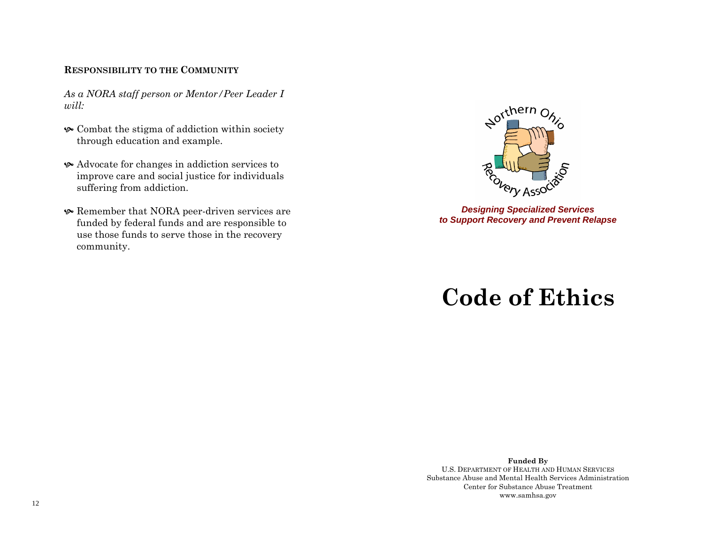#### **RESPONSIBILITY TO THE COMMUNITY**

*As a NORA staff person or Mentor/Peer Leader I will:* 

- $\bullet$  Combat the stigma of addiction within society through education and example.
- Advocate for changes in addiction services to improve care and social justice for individuals suffering from addiction.
- Remember that NORA peer-driven services are funded by federal funds and are responsible to use those funds to serve those in the recovery community.



*Designing Specialized Services to Support Recovery and Prevent Relapse* 

# **Code of Ethics**

**Funded By**  U.S. DEPARTMENT OF HEALTH AND HUMAN SERVICESSubstance Abuse and Mental Health Services Administration Center for Substance Abuse Treatment www.samhsa.gov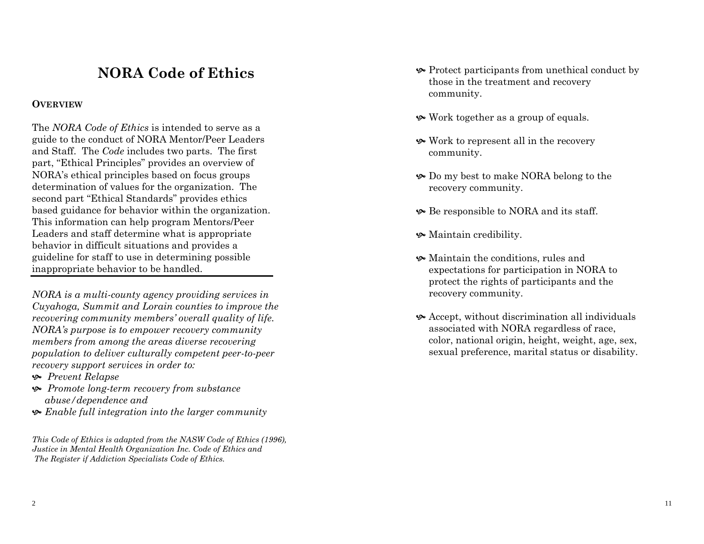# **NORA Code of Ethics**

### **OVERVIEW**

The *NORA Code of Ethics* is intended to serve as a guide to the conduct of NORA Mentor/Peer Leaders and Staff. The *Code* includes two parts. The first part, "Ethical Principles" provides an overview of NORA's ethical principles based on focus groups determination of values for the organization. The second part "Ethical Standards" provides ethics based guidance for behavior within the organization. This information can help program Mentors/Peer Leaders and staff determine what is appropriate behavior in difficult situations and provides a guideline for staff to use in determining possible inappropriate behavior to be handled.

*NORA is a multi-county agency providing services in Cuyahoga, Summit and Lorain counties to improve the recovering community members' overall quality of life. NORA's purpose is to empower recovery community members from among the areas diverse recovering population to deliver culturally competent peer-to-peer recovery support services in order to:* 

- ^ *Prevent Relapse*
- ^ *Promote long-term recovery from substance abuse/dependence and*
- ^ *Enable full integration into the larger community*

*This Code of Ethics is adapted from the NASW Code of Ethics (1996), Justice in Mental Health Organization Inc. Code of Ethics and The Register if Addiction Specialists Code of Ethics.* 

- $\bullet$  Protect participants from unethical conduct by those in the treatment and recovery community.
- $\bullet$  Work together as a group of equals.
- $\bullet$  Work to represent all in the recovery community.
- $\bullet$  Do my best to make NORA belong to the recovery community.
- $\bullet$  Be responsible to NORA and its staff.
- $\bullet$  Maintain credibility.
- $\bullet$  Maintain the conditions, rules and expectations for participation in NORA to protect the rights of participants and the recovery community.
- $\bullet$  Accept, without discrimination all individuals associated with NORA regardless of race, color, national origin, height, weight, age, sex, sexual preference, marital status or disability.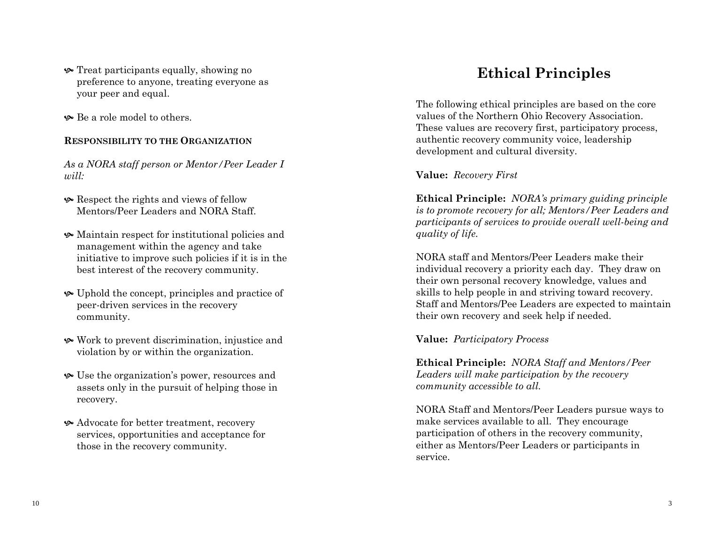- **•** Treat participants equally, showing no preference to anyone, treating everyone as your peer and equal.
- $\bullet$  Be a role model to others.

#### **RESPONSIBILITY TO THE ORGANIZATION**

*As a NORA staff person or Mentor/Peer Leader I will:* 

- Respect the rights and views of fellow Mentors/Peer Leaders and NORA Staff.
- $\bullet$  Maintain respect for institutional policies and management within the agency and take initiative to improve such policies if it is in the best interest of the recovery community.
- $\bullet$  Uphold the concept, principles and practice of peer-driven services in the recovery community.
- ^ Work to prevent discrimination, injustice and violation by or within the organization.
- $\bullet$  Use the organization's power, resources and assets only in the pursuit of helping those in recovery.
- ^ Advocate for better treatment, recovery services, opportunities and acceptance for those in the recovery community.

# **Ethical Principles**

The following ethical principles are based on the core values of the Northern Ohio Recovery Association. These values are recovery first, participatory process, authentic recovery community voice, leadership development and cultural diversity.

### **Value:** *Recovery First*

**Ethical Principle:** *NORA's primary guiding principle is to promote recovery for all; Mentors/Peer Leaders and participants of services to provide overall well-being and quality of life.* 

NORA staff and Mentors/Peer Leaders make their individual recovery a priority each day. They draw on their own personal recovery knowledge, values and skills to help people in and striving toward recovery. Staff and Mentors/Pee Leaders are expected to maintain their own recovery and seek help if needed.

**Value:** *Participatory Process* 

**Ethical Principle:** *NORA Staff and Mentors/Peer Leaders will make participation by the recovery community accessible to all.* 

NORA Staff and Mentors/Peer Leaders pursue ways to make services available to all. They encourage participation of others in the recovery community, either as Mentors/Peer Leaders or participants in service.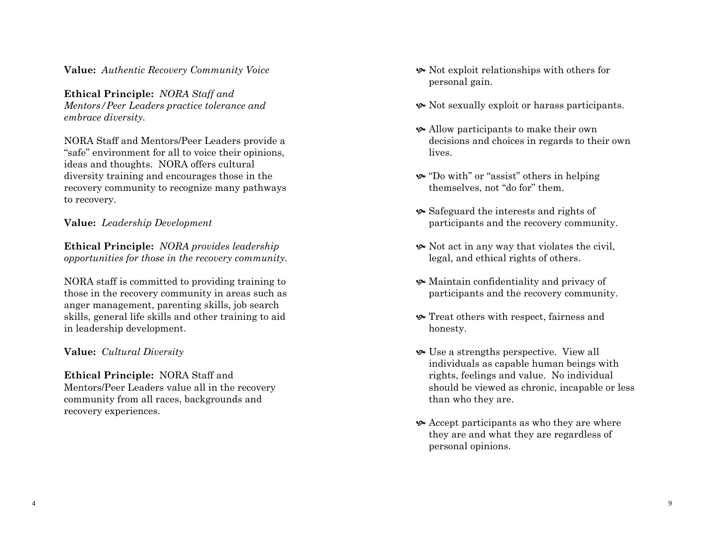**Value:** *Authentic Recovery Community Voice* 

**Ethical Principle:** *NORA Staff and Mentors/Peer Leaders practice tolerance and embrace diversity.* 

NORA Staff and Mentors/Peer Leaders provide a "safe" environment for all to voice their opinions, ideas and thoughts. NORA offers cultural diversity training and encourages those in the recovery community to recognize many pathways to recovery.

## **Value:** *Leadership Development*

**Ethical Principle:** *NORA provides leadership opportunities for those in the recovery community.* 

NORA staff is committed to providing training to those in the recovery community in areas such as anger management, parenting skills, job search skills, general life skills and other training to aid in leadership development.

## **Value:** *Cultural Diversity*

**Ethical Principle:** NORA Staff and Mentors/Peer Leaders value all in the recovery community from all races, backgrounds and recovery experiences.

- $\bullet$  Not exploit relationships with others for personal gain.
- ^ Not sexually exploit or harass participants.
- ^ Allow participants to make their own decisions and choices in regards to their own lives.
- ^ "Do with" or "assist" others in helping themselves, not "do for" them.
- $\bullet$  Safeguard the interests and rights of participants and the recovery community.
- $\bullet$  Not act in any way that violates the civil, legal, and ethical rights of others.
- Maintain confidentiality and privacy of participants and the recovery community.
- $\bullet$  Treat others with respect, fairness and honesty.
- $\bullet$  Use a strengths perspective. View all individuals as capable human beings with rights, feelings and value. No individual should be viewed as chronic, incapable or less than who they are.
- $\bullet$  Accept participants as who they are where they are and what they are regardless of personal opinions.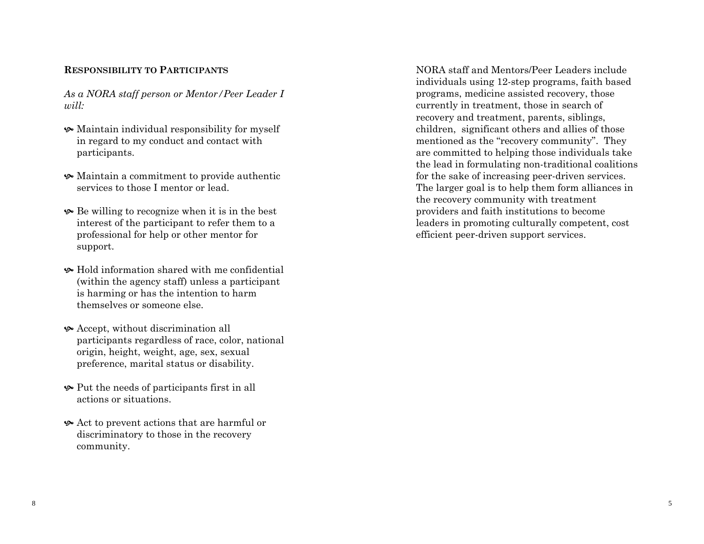#### **RESPONSIBILITY TO PARTICIPANTS**

*As a NORA staff person or Mentor/Peer Leader I will:* 

- $\bullet$  Maintain individual responsibility for myself in regard to my conduct and contact with participants.
- $\bullet$  Maintain a commitment to provide authentic services to those I mentor or lead.
- $\bullet$  Be willing to recognize when it is in the best interest of the participant to refer them to a professional for help or other mentor for support.
- $\bullet$  Hold information shared with me confidential (within the agency staff) unless a participant is harming or has the intention to harm themselves or someone else.
- $\bullet$  Accept, without discrimination all participants regardless of race, color, national origin, height, weight, age, sex, sexual preference, marital status or disability.
- $\bullet$  Put the needs of participants first in all actions or situations.
- $\triangle$  Act to prevent actions that are harmful or discriminatory to those in the recovery community.

NORA staff and Mentors/Peer Leaders include individuals using 12-step programs, faith based programs, medicine assisted recovery, those currently in treatment, those in search of recovery and treatment, parents, siblings, children, significant others and allies of those mentioned as the "recovery community". They are committed to helping those individuals take the lead in formulating non-traditional coalitions for the sake of increasing peer-driven services. The larger goal is to help them form alliances in the recovery community with treatment providers and faith institutions to become leaders in promoting culturally competent, cost efficient peer-driven support services.